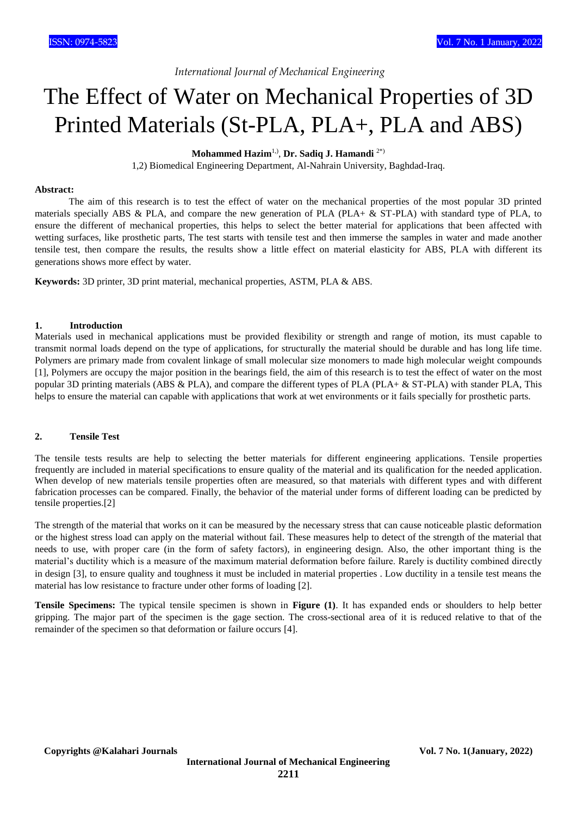*International Journal of Mechanical Engineering*

# The Effect of Water on Mechanical Properties of 3D Printed Materials (St-PLA, PLA+, PLA and ABS)

**Mohammed Hazim**1,) , **Dr. Sadiq J. Hamandi** 2\*)

1,2) Biomedical Engineering Department, Al-Nahrain University, Baghdad-Iraq.

#### **Abstract:**

 The aim of this research is to test the effect of water on the mechanical properties of the most popular 3D printed materials specially ABS & PLA, and compare the new generation of PLA (PLA+  $\&$  ST-PLA) with standard type of PLA, to ensure the different of mechanical properties, this helps to select the better material for applications that been affected with wetting surfaces, like prosthetic parts, The test starts with tensile test and then immerse the samples in water and made another tensile test, then compare the results, the results show a little effect on material elasticity for ABS, PLA with different its generations shows more effect by water.

**Keywords:** 3D printer, 3D print material, mechanical properties, ASTM, PLA & ABS.

#### **1. Introduction**

Materials used in mechanical applications must be provided flexibility or strength and range of motion, its must capable to transmit normal loads depend on the type of applications, for structurally the material should be durable and has long life time. Polymers are primary made from covalent linkage of small molecular size monomers to made high molecular weight compounds [1], Polymers are occupy the major position in the bearings field, the aim of this research is to test the effect of water on the most popular 3D printing materials (ABS & PLA), and compare the different types of PLA (PLA+  $\&$  ST-PLA) with stander PLA, This helps to ensure the material can capable with applications that work at wet environments or it fails specially for prosthetic parts.

## **2. Tensile Test**

The tensile tests results are help to selecting the better materials for different engineering applications. Tensile properties frequently are included in material specifications to ensure quality of the material and its qualification for the needed application. When develop of new materials tensile properties often are measured, so that materials with different types and with different fabrication processes can be compared. Finally, the behavior of the material under forms of different loading can be predicted by tensile properties.[2]

The strength of the material that works on it can be measured by the necessary stress that can cause noticeable plastic deformation or the highest stress load can apply on the material without fail. These measures help to detect of the strength of the material that needs to use, with proper care (in the form of safety factors), in engineering design. Also, the other important thing is the material's ductility which is a measure of the maximum material deformation before failure. Rarely is ductility combined directly in design [3], to ensure quality and toughness it must be included in material properties . Low ductility in a tensile test means the material has low resistance to fracture under other forms of loading [2].

**Tensile Specimens:** The typical tensile specimen is shown in **Figure (1)**. It has expanded ends or shoulders to help better gripping. The major part of the specimen is the gage section. The cross-sectional area of it is reduced relative to that of the remainder of the specimen so that deformation or failure occurs [4].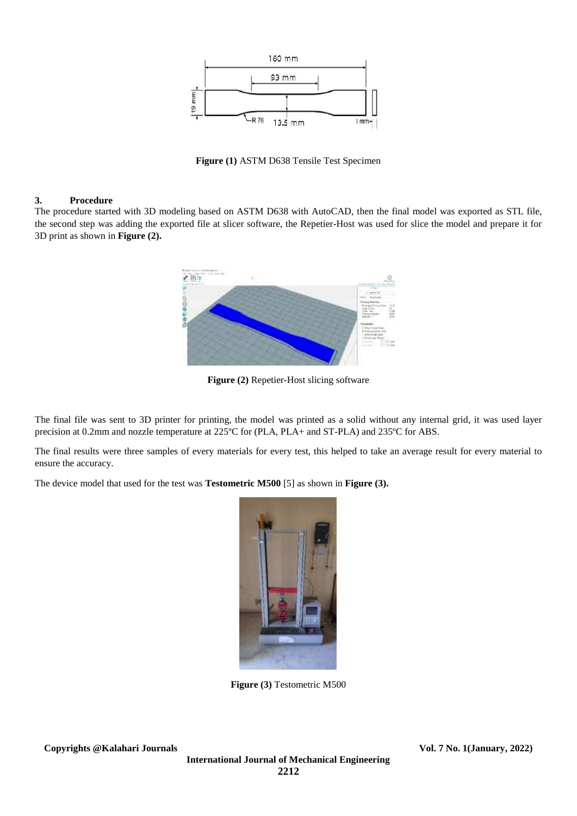

**Figure (1)** ASTM D638 Tensile Test Specimen

### **3. Procedure**

The procedure started with 3D modeling based on ASTM D638 with AutoCAD, then the final model was exported as STL file, the second step was adding the exported file at slicer software, the Repetier-Host was used for slice the model and prepare it for 3D print as shown in **Figure (2).**



**Figure (2)** Repetier-Host slicing software

The final file was sent to 3D printer for printing, the model was printed as a solid without any internal grid, it was used layer precision at 0.2mm and nozzle temperature at 225ºC for (PLA, PLA+ and ST-PLA) and 235ºC for ABS.

The final results were three samples of every materials for every test, this helped to take an average result for every material to ensure the accuracy.

The device model that used for the test was **Testometric M500** [5] as shown in **Figure (3).**



**Figure (3)** Testometric M500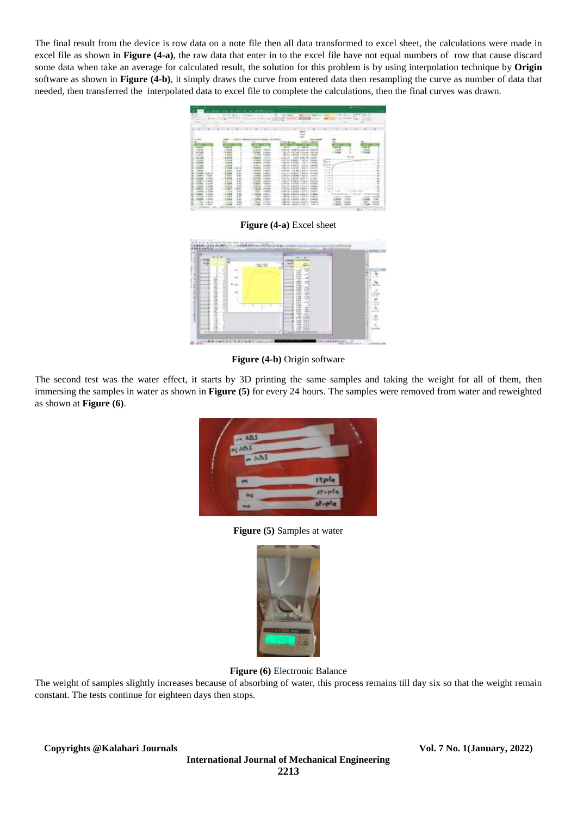The final result from the device is row data on a note file then all data transformed to excel sheet, the calculations were made in excel file as shown in **Figure (4-a)**, the raw data that enter in to the excel file have not equal numbers of row that cause discard some data when take an average for calculated result, the solution for this problem is by using interpolation technique by **Origin** software as shown in **Figure (4-b)**, it simply draws the curve from entered data then resampling the curve as number of data that needed, then transferred the interpolated data to excel file to complete the calculations, then the final curves was drawn.



**Figure (4-a)** Excel sheet

| ×      |                      | <b>COLLEGE</b>                                                          |   |
|--------|----------------------|-------------------------------------------------------------------------|---|
|        |                      |                                                                         |   |
|        |                      | $-0.001$<br>÷<br>-<br>œ<br>世                                            |   |
|        |                      | Ï<br>-<br>m                                                             |   |
| u      |                      | 嶉<br>÷                                                                  | š |
|        | ١                    | <b>MERGHER</b><br>sults.<br>$\sim$<br>$1 - 10$                          | ÷ |
|        | U.S<br>٠<br>×<br>TO. | m<br>т<br>æ<br>彻                                                        |   |
| ۰<br>× |                      | 當<br>40<br>œ                                                            |   |
| ш      |                      | <b>Light</b><br><b>Sand</b><br>-221<br>$-144$<br>uz<br><b>DEA</b><br>œ₿ |   |

**Figure (4-b)** Origin software

The second test was the water effect, it starts by 3D printing the same samples and taking the weight for all of them, then immersing the samples in water as shown in **Figure (5)** for every 24 hours. The samples were removed from water and reweighted as shown at **Figure (6)**.



**Figure (5)** Samples at water



**Figure (6)** Electronic Balance

The weight of samples slightly increases because of absorbing of water, this process remains till day six so that the weight remain constant. The tests continue for eighteen days then stops.

**Copyrights @Kalahari Journals Vol. 7 No. 1(January, 2022)**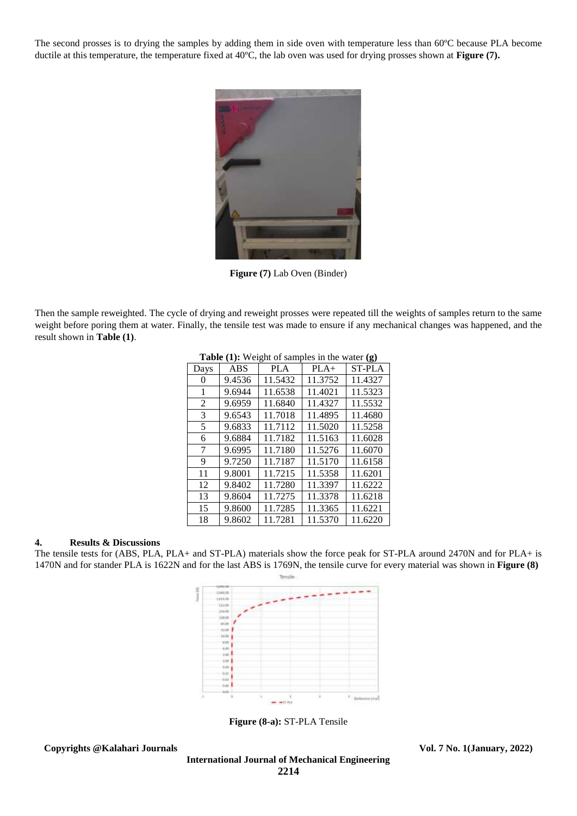The second prosses is to drying the samples by adding them in side oven with temperature less than 60ºC because PLA become ductile at this temperature, the temperature fixed at 40ºC, the lab oven was used for drying prosses shown at **Figure (7).**



**Figure (7)** Lab Oven (Binder)

Then the sample reweighted. The cycle of drying and reweight prosses were repeated till the weights of samples return to the same weight before poring them at water. Finally, the tensile test was made to ensure if any mechanical changes was happened, and the result shown in **Table (1)**.

|                |            | <b>rative</b> (1). Weight of samples in the water $(g)$ |         |               |
|----------------|------------|---------------------------------------------------------|---------|---------------|
| Days           | <b>ABS</b> | <b>PLA</b>                                              | $PLA+$  | <b>ST-PLA</b> |
| 0              | 9.4536     | 11.5432                                                 | 11.3752 | 11.4327       |
| 1              | 9.6944     | 11.6538                                                 | 11.4021 | 11.5323       |
| $\overline{2}$ | 9.6959     | 11.6840                                                 | 11.4327 | 11.5532       |
| 3              | 9.6543     | 11.7018                                                 | 11.4895 | 11.4680       |
| 5              | 9.6833     | 11.7112                                                 | 11.5020 | 11.5258       |
| 6              | 9.6884     | 11.7182                                                 | 11.5163 | 11.6028       |
| 7              | 9.6995     | 11.7180                                                 | 11.5276 | 11.6070       |
| 9              | 9.7250     | 11.7187                                                 | 11.5170 | 11.6158       |
| 11             | 9.8001     | 11.7215                                                 | 11.5358 | 11.6201       |
| 12             | 9.8402     | 11.7280                                                 | 11.3397 | 11.6222       |
| 13             | 9.8604     | 11.7275                                                 | 11.3378 | 11.6218       |
| 15             | 9.8600     | 11.7285                                                 | 11.3365 | 11.6221       |
| 18             | 9.8602     | 11.7281                                                 | 11.5370 | 11.6220       |

**Table (1):** Weight of samples in the water **(g)**

#### **4. Results & Discussions**

The tensile tests for (ABS, PLA, PLA+ and ST-PLA) materials show the force peak for ST-PLA around 2470N and for PLA+ is 1470N and for stander PLA is 1622N and for the last ABS is 1769N, the tensile curve for every material was shown in **Figure (8)**



**Figure (8-a):** ST-PLA Tensile

**Copyrights @Kalahari Journals Vol. 7 No. 1(January, 2022)**

**International Journal of Mechanical Engineering 2214**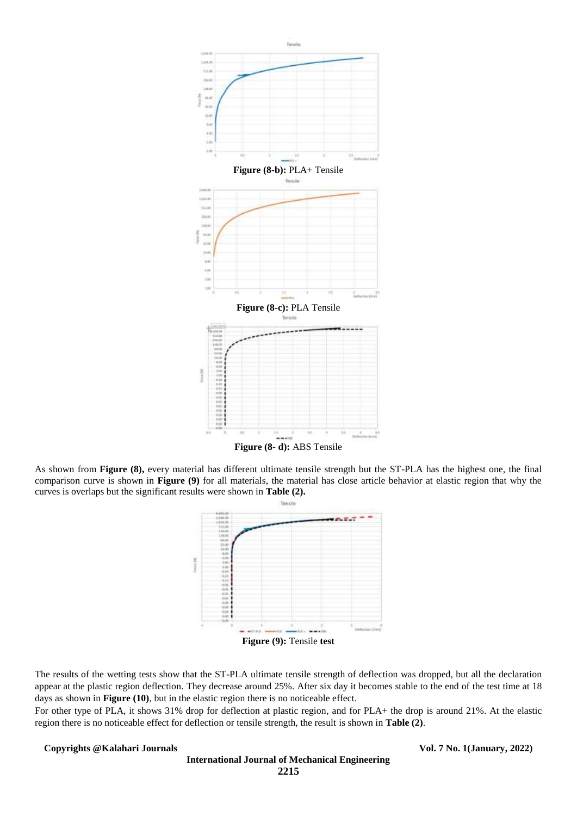

As shown from **Figure (8),** every material has different ultimate tensile strength but the ST-PLA has the highest one, the final comparison curve is shown in **Figure (9)** for all materials, the material has close article behavior at elastic region that why the curves is overlaps but the significant results were shown in **Table (2).**



The results of the wetting tests show that the ST-PLA ultimate tensile strength of deflection was dropped, but all the declaration appear at the plastic region deflection. They decrease around 25%. After six day it becomes stable to the end of the test time at 18 days as shown in **Figure (10)**, but in the elastic region there is no noticeable effect.

For other type of PLA, it shows 31% drop for deflection at plastic region, and for PLA+ the drop is around 21%. At the elastic region there is no noticeable effect for deflection or tensile strength, the result is shown in **Table (2)**.

**Copyrights @Kalahari Journals Vol. 7 No. 1(January, 2022)**

**International Journal of Mechanical Engineering 2215**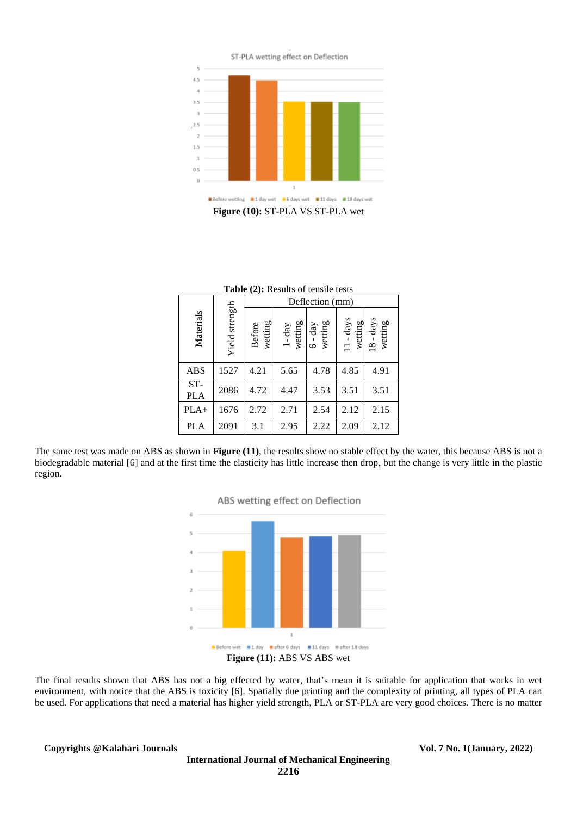

**Figure (10):** ST-PLA VS ST-PLA wet

|                   |                | Deflection (mm)          |                     |                      |                               |                        |
|-------------------|----------------|--------------------------|---------------------|----------------------|-------------------------------|------------------------|
| Materials         | Yield strength | wetting<br><b>Before</b> | $1$ -day<br>wetting | $6 - day$<br>wetting | - days<br>wetting<br>$\equiv$ | $18 - days$<br>wetting |
| <b>ABS</b>        | 1527           | 4.21                     | 5.65                | 4.78                 | 4.85                          | 4.91                   |
| ST-<br><b>PLA</b> | 2086           | 4.72                     | 4.47                | 3.53                 | 3.51                          | 3.51                   |
| $PLA+$            | 1676           | 2.72                     | 2.71                | 2.54                 | 2.12                          | 2.15                   |
| <b>PLA</b>        | 2091           | 3.1                      | 2.95                | 2.22                 | 2.09                          | 2.12                   |

|  |  | Table (2): Results of tensile tests |
|--|--|-------------------------------------|
|--|--|-------------------------------------|

The same test was made on ABS as shown in **Figure (11)**, the results show no stable effect by the water, this because ABS is not a biodegradable material [6] and at the first time the elasticity has little increase then drop, but the change is very little in the plastic region.



The final results shown that ABS has not a big effected by water, that's mean it is suitable for application that works in wet environment, with notice that the ABS is toxicity [6]. Spatially due printing and the complexity of printing, all types of PLA can be used. For applications that need a material has higher yield strength, PLA or ST-PLA are very good choices. There is no matter

**Copyrights @Kalahari Journals Vol. 7 No. 1(January, 2022)**